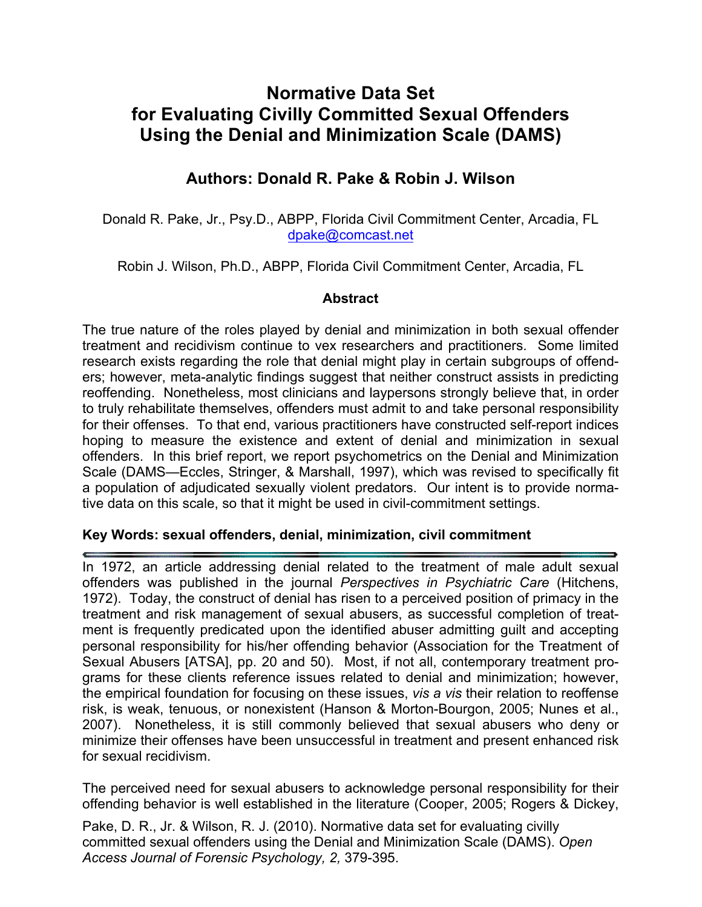# **Normative Data Set for Evaluating Civilly Committed Sexual Offenders Using the Denial and Minimization Scale (DAMS)**

## **Authors: Donald R. Pake & Robin J. Wilson**

Donald R. Pake, Jr., Psy.D., ABPP, Florida Civil Commitment Center, Arcadia, FL dpake@comcast.net

Robin J. Wilson, Ph.D., ABPP, Florida Civil Commitment Center, Arcadia, FL

## **Abstract**

The true nature of the roles played by denial and minimization in both sexual offender treatment and recidivism continue to vex researchers and practitioners. Some limited research exists regarding the role that denial might play in certain subgroups of offenders; however, meta-analytic findings suggest that neither construct assists in predicting reoffending. Nonetheless, most clinicians and laypersons strongly believe that, in order to truly rehabilitate themselves, offenders must admit to and take personal responsibility for their offenses. To that end, various practitioners have constructed self-report indices hoping to measure the existence and extent of denial and minimization in sexual offenders. In this brief report, we report psychometrics on the Denial and Minimization Scale (DAMS—Eccles, Stringer, & Marshall, 1997), which was revised to specifically fit a population of adjudicated sexually violent predators. Our intent is to provide normative data on this scale, so that it might be used in civil-commitment settings.

## **Key Words: sexual offenders, denial, minimization, civil commitment**

In 1972, an article addressing denial related to the treatment of male adult sexual offenders was published in the journal *Perspectives in Psychiatric Care* (Hitchens, 1972). Today, the construct of denial has risen to a perceived position of primacy in the treatment and risk management of sexual abusers, as successful completion of treatment is frequently predicated upon the identified abuser admitting guilt and accepting personal responsibility for his/her offending behavior (Association for the Treatment of Sexual Abusers [ATSA], pp. 20 and 50). Most, if not all, contemporary treatment programs for these clients reference issues related to denial and minimization; however, the empirical foundation for focusing on these issues, *vis a vis* their relation to reoffense risk, is weak, tenuous, or nonexistent (Hanson & Morton-Bourgon, 2005; Nunes et al., 2007). Nonetheless, it is still commonly believed that sexual abusers who deny or minimize their offenses have been unsuccessful in treatment and present enhanced risk for sexual recidivism.

The perceived need for sexual abusers to acknowledge personal responsibility for their offending behavior is well established in the literature (Cooper, 2005; Rogers & Dickey,

Pake, D. R., Jr. & Wilson, R. J. (2010). Normative data set for evaluating civilly committed sexual offenders using the Denial and Minimization Scale (DAMS). *Open Access Journal of Forensic Psychology, 2,* 379-395.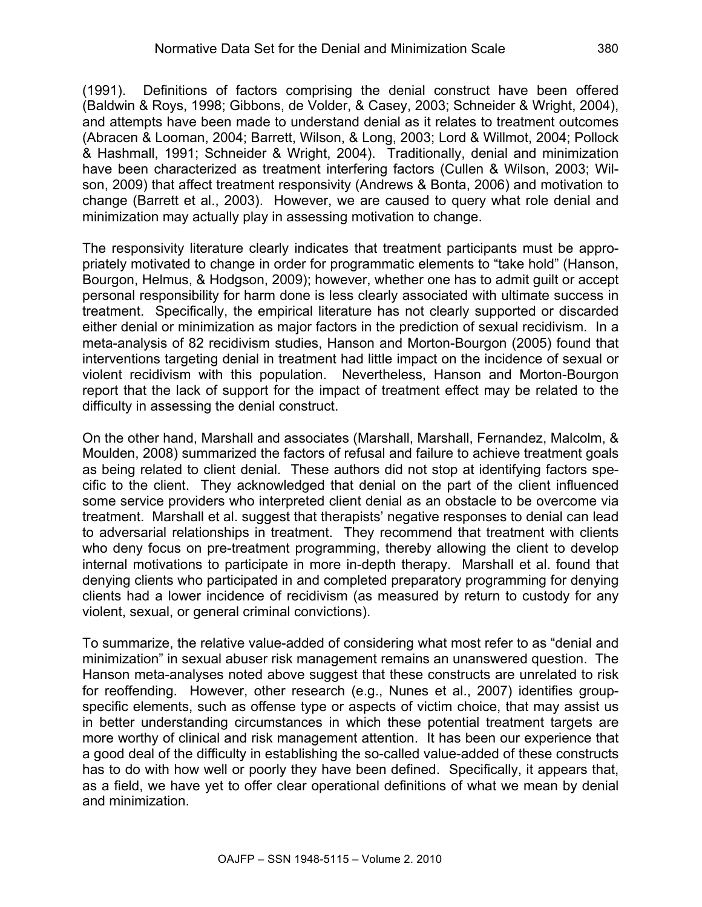(1991). Definitions of factors comprising the denial construct have been offered (Baldwin & Roys, 1998; Gibbons, de Volder, & Casey, 2003; Schneider & Wright, 2004), and attempts have been made to understand denial as it relates to treatment outcomes (Abracen & Looman, 2004; Barrett, Wilson, & Long, 2003; Lord & Willmot, 2004; Pollock & Hashmall, 1991; Schneider & Wright, 2004). Traditionally, denial and minimization have been characterized as treatment interfering factors (Cullen & Wilson, 2003; Wilson, 2009) that affect treatment responsivity (Andrews & Bonta, 2006) and motivation to change (Barrett et al., 2003). However, we are caused to query what role denial and minimization may actually play in assessing motivation to change.

The responsivity literature clearly indicates that treatment participants must be appropriately motivated to change in order for programmatic elements to "take hold" (Hanson, Bourgon, Helmus, & Hodgson, 2009); however, whether one has to admit guilt or accept personal responsibility for harm done is less clearly associated with ultimate success in treatment. Specifically, the empirical literature has not clearly supported or discarded either denial or minimization as major factors in the prediction of sexual recidivism. In a meta-analysis of 82 recidivism studies, Hanson and Morton-Bourgon (2005) found that interventions targeting denial in treatment had little impact on the incidence of sexual or violent recidivism with this population. Nevertheless, Hanson and Morton-Bourgon report that the lack of support for the impact of treatment effect may be related to the difficulty in assessing the denial construct.

On the other hand, Marshall and associates (Marshall, Marshall, Fernandez, Malcolm, & Moulden, 2008) summarized the factors of refusal and failure to achieve treatment goals as being related to client denial. These authors did not stop at identifying factors specific to the client. They acknowledged that denial on the part of the client influenced some service providers who interpreted client denial as an obstacle to be overcome via treatment. Marshall et al. suggest that therapists' negative responses to denial can lead to adversarial relationships in treatment. They recommend that treatment with clients who deny focus on pre-treatment programming, thereby allowing the client to develop internal motivations to participate in more in-depth therapy. Marshall et al. found that denying clients who participated in and completed preparatory programming for denying clients had a lower incidence of recidivism (as measured by return to custody for any violent, sexual, or general criminal convictions).

To summarize, the relative value-added of considering what most refer to as "denial and minimization" in sexual abuser risk management remains an unanswered question. The Hanson meta-analyses noted above suggest that these constructs are unrelated to risk for reoffending. However, other research (e.g., Nunes et al., 2007) identifies groupspecific elements, such as offense type or aspects of victim choice, that may assist us in better understanding circumstances in which these potential treatment targets are more worthy of clinical and risk management attention. It has been our experience that a good deal of the difficulty in establishing the so-called value-added of these constructs has to do with how well or poorly they have been defined. Specifically, it appears that, as a field, we have yet to offer clear operational definitions of what we mean by denial and minimization.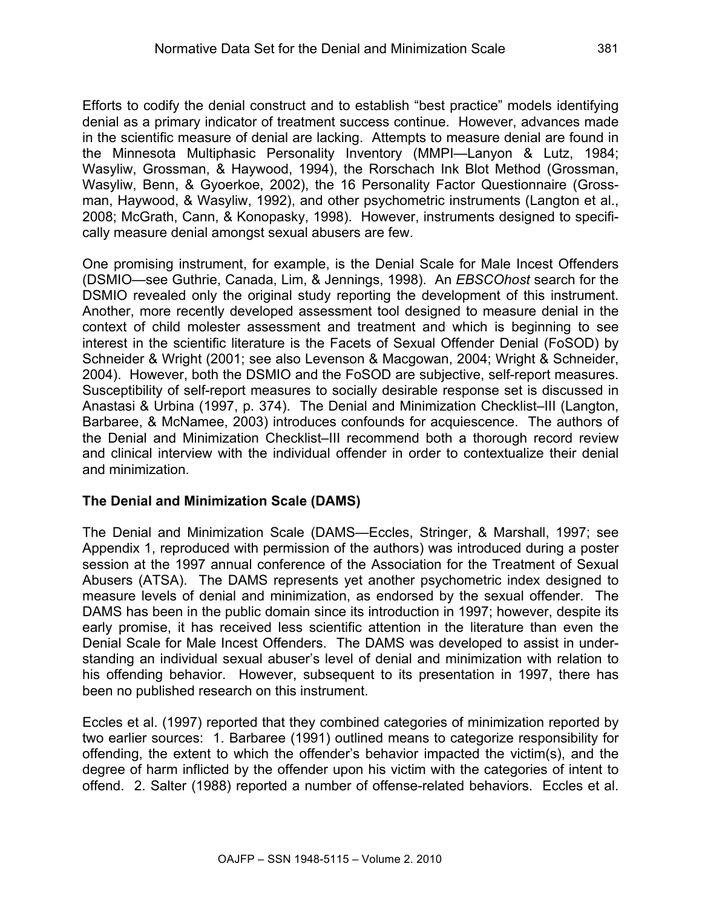Efforts to codify the denial construct and to establish "best practice" models identifying denial as a primary indicator of treatment success continue. However, advances made in the scientific measure of denial are lacking. Attempts to measure denial are found in the Minnesota Multiphasic Personality Inventory (MMPI—Lanyon & Lutz, 1984; Wasyliw, Grossman, & Haywood, 1994), the Rorschach Ink Blot Method (Grossman, Wasyliw, Benn, & Gyoerkoe, 2002), the 16 Personality Factor Questionnaire (Grossman, Haywood, & Wasyliw, 1992), and other psychometric instruments (Langton et al., 2008; McGrath, Cann, & Konopasky, 1998). However, instruments designed to specifically measure denial amongst sexual abusers are few.

One promising instrument, for example, is the Denial Scale for Male Incest Offenders (DSMIO—see Guthrie, Canada, Lim, & Jennings, 1998). An *EBSCOhost* search for the DSMIO revealed only the original study reporting the development of this instrument. Another, more recently developed assessment tool designed to measure denial in the context of child molester assessment and treatment and which is beginning to see interest in the scientific literature is the Facets of Sexual Offender Denial (FoSOD) by Schneider & Wright (2001; see also Levenson & Macgowan, 2004; Wright & Schneider, 2004). However, both the DSMIO and the FoSOD are subjective, self-report measures. Susceptibility of self-report measures to socially desirable response set is discussed in Anastasi & Urbina (1997, p. 374). The Denial and Minimization Checklist–III (Langton, Barbaree, & McNamee, 2003) introduces confounds for acquiescence. The authors of the Denial and Minimization Checklist–III recommend both a thorough record review and clinical interview with the individual offender in order to contextualize their denial and minimization.

## **The Denial and Minimization Scale (DAMS)**

The Denial and Minimization Scale (DAMS—Eccles, Stringer, & Marshall, 1997; see Appendix 1, reproduced with permission of the authors) was introduced during a poster session at the 1997 annual conference of the Association for the Treatment of Sexual Abusers (ATSA). The DAMS represents yet another psychometric index designed to measure levels of denial and minimization, as endorsed by the sexual offender. The DAMS has been in the public domain since its introduction in 1997; however, despite its early promise, it has received less scientific attention in the literature than even the Denial Scale for Male Incest Offenders. The DAMS was developed to assist in understanding an individual sexual abuser's level of denial and minimization with relation to his offending behavior. However, subsequent to its presentation in 1997, there has been no published research on this instrument.

Eccles et al. (1997) reported that they combined categories of minimization reported by two earlier sources: 1. Barbaree (1991) outlined means to categorize responsibility for offending, the extent to which the offender's behavior impacted the victim(s), and the degree of harm inflicted by the offender upon his victim with the categories of intent to offend. 2. Salter (1988) reported a number of offense-related behaviors. Eccles et al.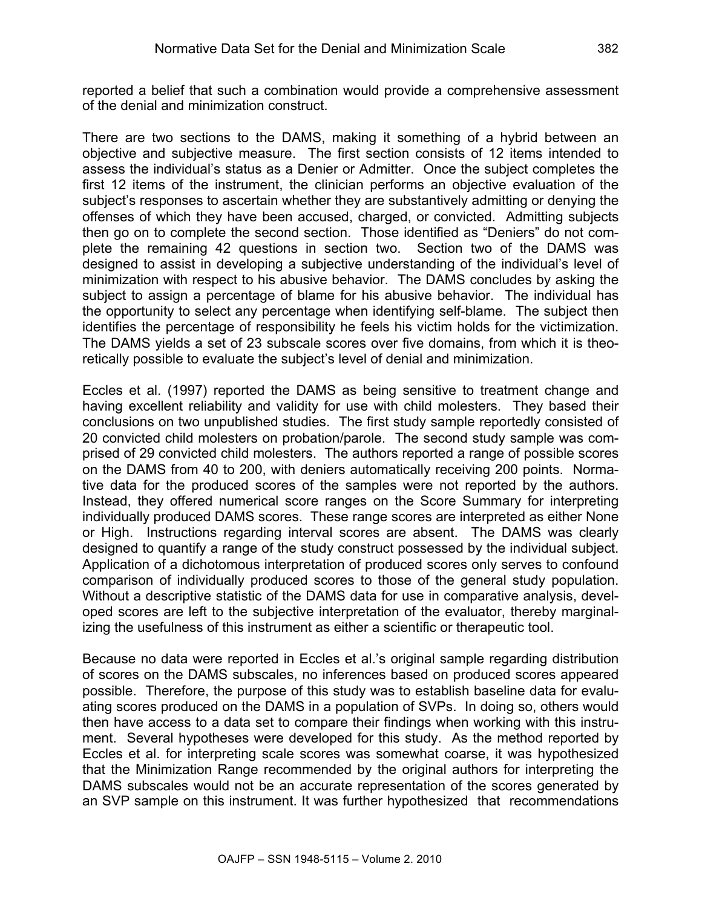reported a belief that such a combination would provide a comprehensive assessment of the denial and minimization construct.

There are two sections to the DAMS, making it something of a hybrid between an objective and subjective measure. The first section consists of 12 items intended to assess the individual's status as a Denier or Admitter. Once the subject completes the first 12 items of the instrument, the clinician performs an objective evaluation of the subject's responses to ascertain whether they are substantively admitting or denying the offenses of which they have been accused, charged, or convicted. Admitting subjects then go on to complete the second section. Those identified as "Deniers" do not complete the remaining 42 questions in section two. Section two of the DAMS was designed to assist in developing a subjective understanding of the individual's level of minimization with respect to his abusive behavior. The DAMS concludes by asking the subject to assign a percentage of blame for his abusive behavior. The individual has the opportunity to select any percentage when identifying self-blame. The subject then identifies the percentage of responsibility he feels his victim holds for the victimization. The DAMS yields a set of 23 subscale scores over five domains, from which it is theoretically possible to evaluate the subject's level of denial and minimization.

Eccles et al. (1997) reported the DAMS as being sensitive to treatment change and having excellent reliability and validity for use with child molesters. They based their conclusions on two unpublished studies. The first study sample reportedly consisted of 20 convicted child molesters on probation/parole. The second study sample was comprised of 29 convicted child molesters. The authors reported a range of possible scores on the DAMS from 40 to 200, with deniers automatically receiving 200 points. Normative data for the produced scores of the samples were not reported by the authors. Instead, they offered numerical score ranges on the Score Summary for interpreting individually produced DAMS scores. These range scores are interpreted as either None or High. Instructions regarding interval scores are absent. The DAMS was clearly designed to quantify a range of the study construct possessed by the individual subject. Application of a dichotomous interpretation of produced scores only serves to confound comparison of individually produced scores to those of the general study population. Without a descriptive statistic of the DAMS data for use in comparative analysis, developed scores are left to the subjective interpretation of the evaluator, thereby marginalizing the usefulness of this instrument as either a scientific or therapeutic tool.

Because no data were reported in Eccles et al.'s original sample regarding distribution of scores on the DAMS subscales, no inferences based on produced scores appeared possible. Therefore, the purpose of this study was to establish baseline data for evaluating scores produced on the DAMS in a population of SVPs. In doing so, others would then have access to a data set to compare their findings when working with this instrument. Several hypotheses were developed for this study. As the method reported by Eccles et al. for interpreting scale scores was somewhat coarse, it was hypothesized that the Minimization Range recommended by the original authors for interpreting the DAMS subscales would not be an accurate representation of the scores generated by an SVP sample on this instrument. It was further hypothesized that recommendations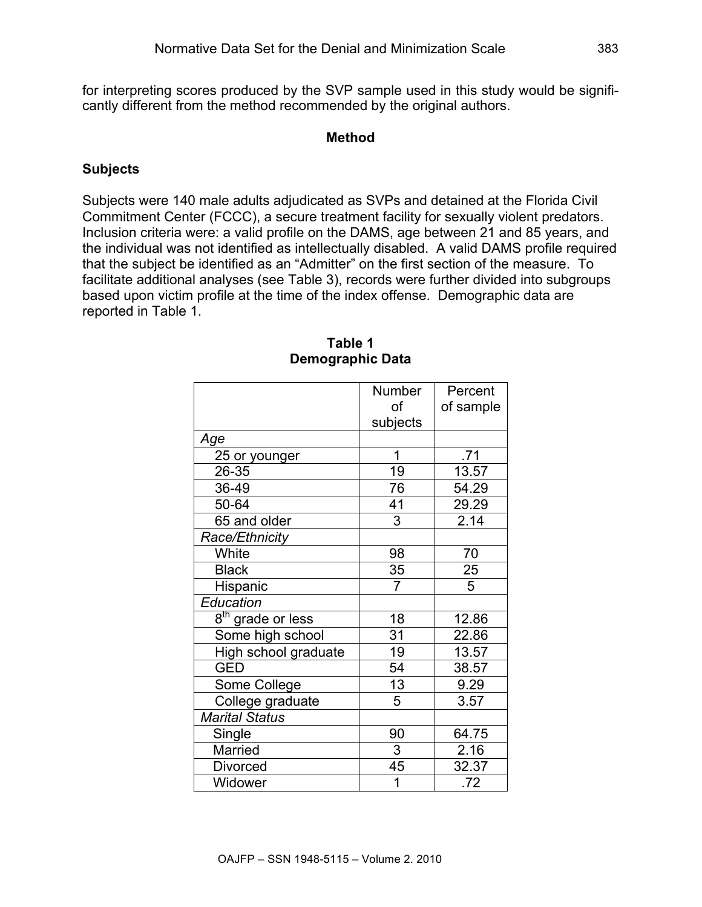for interpreting scores produced by the SVP sample used in this study would be significantly different from the method recommended by the original authors.

#### **Method**

## **Subjects**

Subjects were 140 male adults adjudicated as SVPs and detained at the Florida Civil Commitment Center (FCCC), a secure treatment facility for sexually violent predators. Inclusion criteria were: a valid profile on the DAMS, age between 21 and 85 years, and the individual was not identified as intellectually disabled. A valid DAMS profile required that the subject be identified as an "Admitter" on the first section of the measure. To facilitate additional analyses (see Table 3), records were further divided into subgroups based upon victim profile at the time of the index offense. Demographic data are reported in Table 1.

|                               | Number         | Percent        |
|-------------------------------|----------------|----------------|
|                               | of             | of sample      |
|                               | subjects       |                |
| Age                           |                |                |
| 25 or younger                 | 1              | .71            |
| 26-35                         | 19             | 13.57          |
| 36-49                         | 76             | 54.29          |
| 50-64                         | 41             | 29.29          |
| 65 and older                  | 3              | 2.14           |
| Race/Ethnicity                |                |                |
| White                         | 98             | 70             |
| <b>Black</b>                  | $\frac{35}{7}$ | $\frac{25}{5}$ |
| Hispanic                      |                | $\overline{5}$ |
| Education                     |                |                |
| 8 <sup>th</sup> grade or less | 18             | 12.86          |
| Some high school              | 31             | 22.86          |
| High school graduate          | 19             | 13.57          |
| <b>GED</b>                    | 54             | 38.57          |
| Some College                  | 13             | 9.29           |
| College graduate              | 5              | 3.57           |
| <b>Marital Status</b>         |                |                |
| Single                        | 90             | 64.75          |
| Married                       | 3              | 2.16           |
| <b>Divorced</b>               | 45             | 32.37          |
| Widower                       | 1              | .72            |

#### **Table 1 Demographic Data**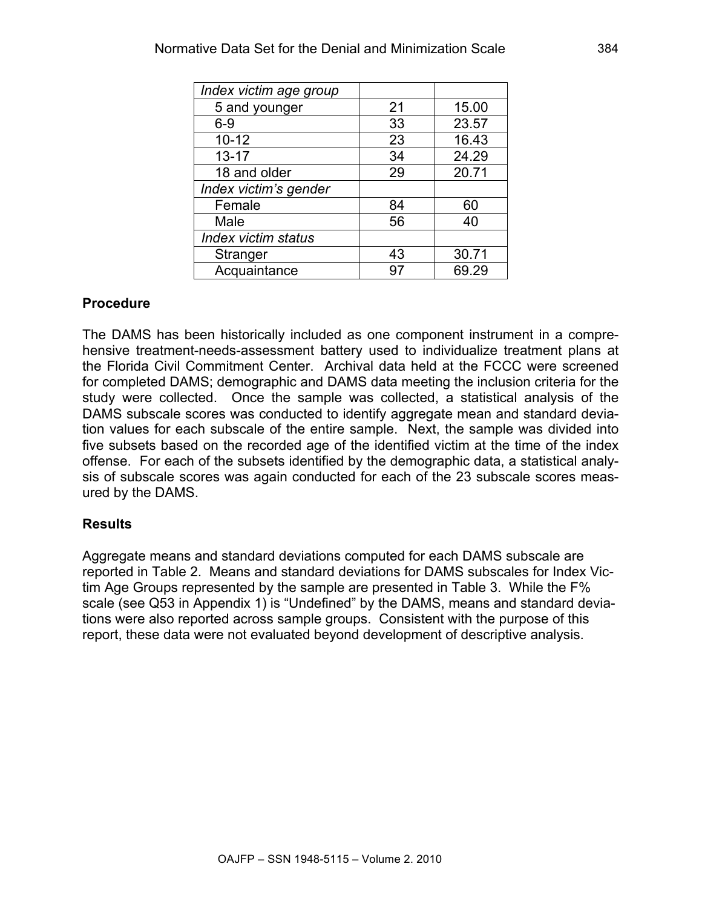| Index victim age group     |    |       |
|----------------------------|----|-------|
| 5 and younger              | 21 | 15.00 |
| $6 - 9$                    | 33 | 23.57 |
| $10 - 12$                  | 23 | 16.43 |
| $13 - 17$                  | 34 | 24.29 |
| 18 and older               | 29 | 20.71 |
| Index victim's gender      |    |       |
| Female                     | 84 | 60    |
| Male                       | 56 | 40    |
| <b>Index victim status</b> |    |       |
| Stranger                   | 43 | 30.71 |
| Acquaintance               | 97 | 69.29 |

#### **Procedure**

The DAMS has been historically included as one component instrument in a comprehensive treatment-needs-assessment battery used to individualize treatment plans at the Florida Civil Commitment Center. Archival data held at the FCCC were screened for completed DAMS; demographic and DAMS data meeting the inclusion criteria for the study were collected. Once the sample was collected, a statistical analysis of the DAMS subscale scores was conducted to identify aggregate mean and standard deviation values for each subscale of the entire sample. Next, the sample was divided into five subsets based on the recorded age of the identified victim at the time of the index offense. For each of the subsets identified by the demographic data, a statistical analysis of subscale scores was again conducted for each of the 23 subscale scores measured by the DAMS.

#### **Results**

Aggregate means and standard deviations computed for each DAMS subscale are reported in Table 2. Means and standard deviations for DAMS subscales for Index Victim Age Groups represented by the sample are presented in Table 3. While the F% scale (see Q53 in Appendix 1) is "Undefined" by the DAMS, means and standard deviations were also reported across sample groups. Consistent with the purpose of this report, these data were not evaluated beyond development of descriptive analysis.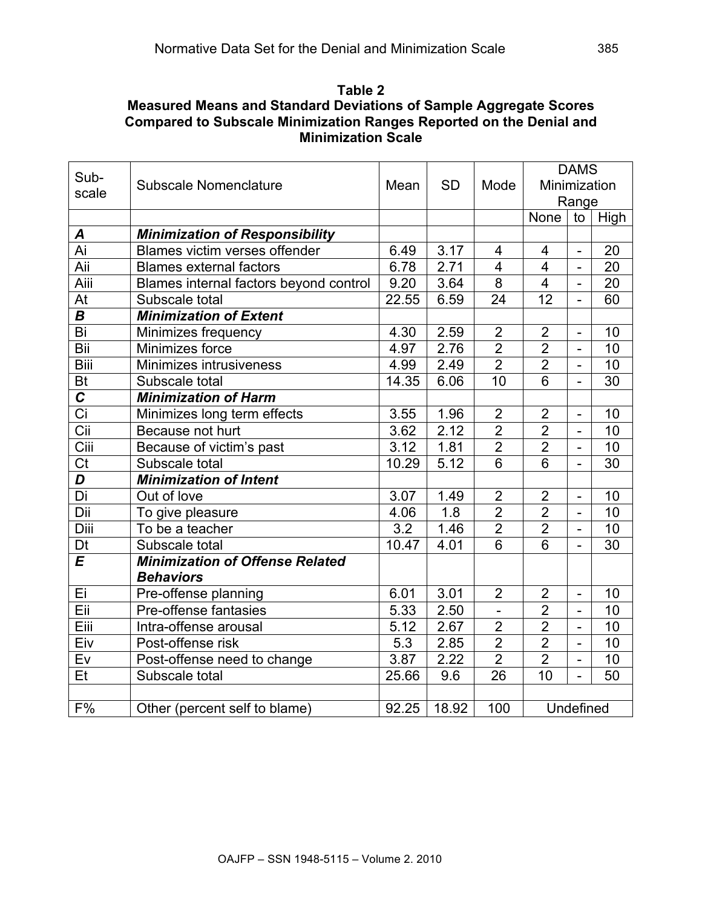## **Table 2 Measured Means and Standard Deviations of Sample Aggregate Scores Compared to Subscale Minimization Ranges Reported on the Denial and Minimization Scale**

|                         |                                        |       |           |                 |                         | <b>DAMS</b>              |                 |
|-------------------------|----------------------------------------|-------|-----------|-----------------|-------------------------|--------------------------|-----------------|
| Sub-                    | <b>Subscale Nomenclature</b>           |       | <b>SD</b> | Mode            | Minimization            |                          |                 |
| scale                   |                                        |       |           |                 |                         | Range                    |                 |
|                         |                                        |       |           |                 | None                    | to                       | High            |
| A                       | <b>Minimization of Responsibility</b>  |       |           |                 |                         |                          |                 |
| Ai                      | Blames victim verses offender          | 6.49  | 3.17      | 4               | $\overline{4}$          | $\overline{a}$           | 20              |
| Aii                     | <b>Blames external factors</b>         | 6.78  | 2.71      | 4               | 4                       | $\overline{\phantom{0}}$ | 20              |
| Aiii                    | Blames internal factors beyond control | 9.20  | 3.64      | $\overline{8}$  | $\overline{\mathbf{4}}$ | $\overline{a}$           | 20              |
| At                      | Subscale total                         | 22.55 | 6.59      | 24              | $\overline{12}$         | $\overline{a}$           | 60              |
| $\boldsymbol{B}$        | <b>Minimization of Extent</b>          |       |           |                 |                         |                          |                 |
| $\overline{Bi}$         | Minimizes frequency                    | 4.30  | 2.59      | $\overline{2}$  | $\overline{2}$          | $\overline{a}$           | 10              |
| Bii                     | Minimizes force                        | 4.97  | 2.76      | $\overline{2}$  | $\overline{2}$          | $\overline{\phantom{0}}$ | 10              |
| <b>Biii</b>             | Minimizes intrusiveness                | 4.99  | 2.49      | $\overline{2}$  | $\overline{2}$          | $\overline{a}$           | 10              |
| Bt                      | Subscale total                         | 14.35 | 6.06      | 10              | 6                       |                          | 30              |
| $\overline{c}$          | <b>Minimization of Harm</b>            |       |           |                 |                         |                          |                 |
| $\overline{Ci}$         | Minimizes long term effects            | 3.55  | 1.96      | $\overline{2}$  | $\overline{2}$          | $\overline{a}$           | 10              |
|                         | Because not hurt                       | 3.62  | 2.12      | $\overline{2}$  | $\overline{2}$          | $\overline{\phantom{0}}$ | 10              |
| Ciii                    | Because of victim's past               | 3.12  | 1.81      | $\overline{2}$  | $\overline{2}$          | $\overline{\phantom{0}}$ | 10              |
| C <sub>t</sub>          | Subscale total                         | 10.29 | 5.12      | 6               | 6                       | $\overline{a}$           | 30              |
| $\overline{\mathsf{D}}$ | <b>Minimization of Intent</b>          |       |           |                 |                         |                          |                 |
| Di                      | Out of love                            | 3.07  | 1.49      | $\overline{2}$  | $\overline{2}$          | $\overline{a}$           | 10              |
| Dii                     | To give pleasure                       | 4.06  | 1.8       | $\overline{2}$  | $\overline{2}$          | $\overline{\phantom{0}}$ | 10              |
| Diii                    | To be a teacher                        | 3.2   | 1.46      | $\overline{2}$  | $\overline{2}$          | $\overline{a}$           | 10              |
| Dt                      | Subscale total                         | 10.47 | 4.01      | $\overline{6}$  | 6                       |                          | 30              |
| $\overline{E}$          | <b>Minimization of Offense Related</b> |       |           |                 |                         |                          |                 |
|                         | <b>Behaviors</b>                       |       |           |                 |                         |                          |                 |
| Ei                      | Pre-offense planning                   | 6.01  | 3.01      | $\overline{2}$  | $\overline{2}$          | $\overline{\phantom{0}}$ | 10              |
| Eii                     | Pre-offense fantasies                  | 5.33  | 2.50      | $\blacksquare$  | $\overline{2}$          | $\overline{a}$           | 10              |
| Eiii                    | Intra-offense arousal                  | 5.12  | 2.67      | $\overline{2}$  | $\overline{2}$          | $\overline{a}$           | 10              |
| Eiv                     | Post-offense risk                      | 5.3   | 2.85      | $\overline{2}$  | $\overline{2}$          | $\overline{a}$           | 10              |
| Ev                      | Post-offense need to change            | 3.87  | 2.22      | $\overline{2}$  | $\overline{2}$          | $\overline{a}$           | 10              |
| Et                      | Subscale total                         | 25.66 | 9.6       | $\overline{26}$ | $\overline{10}$         |                          | $\overline{50}$ |
|                         |                                        |       |           |                 |                         |                          |                 |
| F%                      | Other (percent self to blame)          | 92.25 | 18.92     | 100             |                         | Undefined                |                 |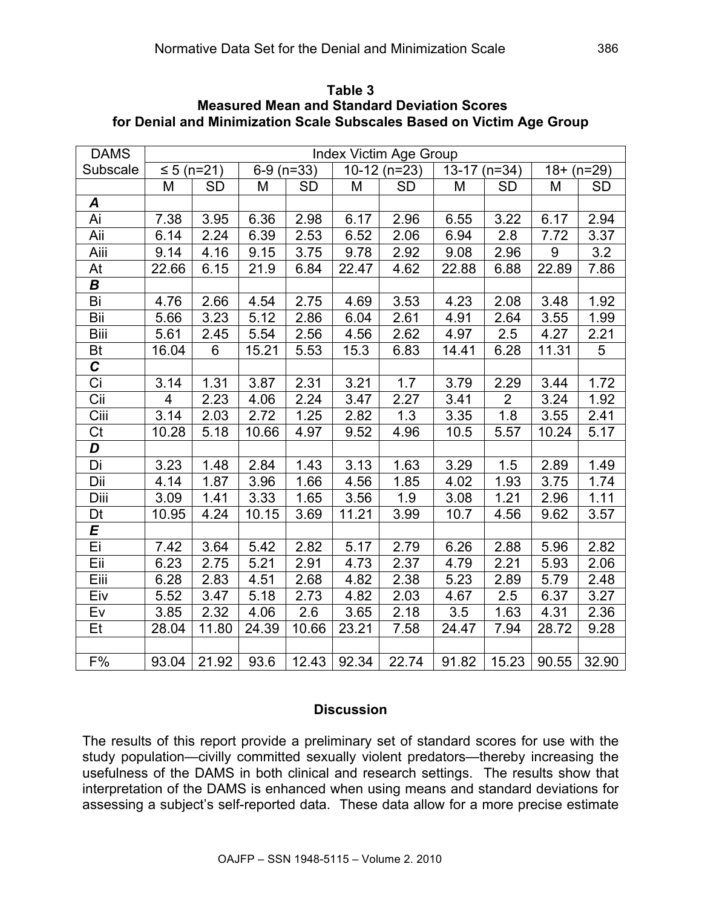| <b>DAMS</b>                               |                |            |              |           | Index Victim Age Group           |           |              |                |       |           |
|-------------------------------------------|----------------|------------|--------------|-----------|----------------------------------|-----------|--------------|----------------|-------|-----------|
| Subscale                                  |                | ≤ 5 (n=21) | $6-9$ (n=33) |           | $10-12$ (n=23)<br>$13-17$ (n=34) |           | $18+ (n=29)$ |                |       |           |
|                                           | M              | <b>SD</b>  | M            | <b>SD</b> | M                                | <b>SD</b> | M            | <b>SD</b>      | M     | <b>SD</b> |
| A                                         |                |            |              |           |                                  |           |              |                |       |           |
| Ai                                        | 7.38           | 3.95       | 6.36         | 2.98      | 6.17                             | 2.96      | 6.55         | 3.22           | 6.17  | 2.94      |
| Aii                                       | 6.14           | 2.24       | 6.39         | 2.53      | 6.52                             | 2.06      | 6.94         | 2.8            | 7.72  | 3.37      |
| Aiii                                      | 9.14           | 4.16       | 9.15         | 3.75      | 9.78                             | 2.92      | 9.08         | 2.96           | 9     | 3.2       |
| At                                        | 22.66          | 6.15       | 21.9         | 6.84      | 22.47                            | 4.62      | 22.88        | 6.88           | 22.89 | 7.86      |
| В                                         |                |            |              |           |                                  |           |              |                |       |           |
| Bi                                        | 4.76           | 2.66       | 4.54         | 2.75      | 4.69                             | 3.53      | 4.23         | 2.08           | 3.48  | 1.92      |
| Bii                                       | 5.66           | 3.23       | 5.12         | 2.86      | 6.04                             | 2.61      | 4.91         | 2.64           | 3.55  | 1.99      |
| <b>Biii</b>                               | 5.61           | 2.45       | 5.54         | 2.56      | 4.56                             | 2.62      | 4.97         | 2.5            | 4.27  | 2.21      |
| Bt                                        | 16.04          | 6          | 15.21        | 5.53      | 15.3                             | 6.83      | 14.41        | 6.28           | 11.31 | 5         |
| $\overline{c}$                            |                |            |              |           |                                  |           |              |                |       |           |
| $\overline{Ci}$                           | 3.14           | 1.31       | 3.87         | 2.31      | 3.21                             | 1.7       | 3.79         | 2.29           | 3.44  | 1.72      |
| $\overline{\overline{\text{C}}\text{ii}}$ | $\overline{4}$ | 2.23       | 4.06         | 2.24      | 3.47                             | 2.27      | 3.41         | $\overline{2}$ | 3.24  | 1.92      |
| Ciii                                      | 3.14           | 2.03       | 2.72         | 1.25      | 2.82                             | 1.3       | 3.35         | 1.8            | 3.55  | 2.41      |
| Ct                                        | 10.28          | 5.18       | 10.66        | 4.97      | 9.52                             | 4.96      | 10.5         | 5.57           | 10.24 | 5.17      |
| D                                         |                |            |              |           |                                  |           |              |                |       |           |
| Di                                        | 3.23           | 1.48       | 2.84         | 1.43      | 3.13                             | 1.63      | 3.29         | 1.5            | 2.89  | 1.49      |
| Dii                                       | 4.14           | 1.87       | 3.96         | 1.66      | 4.56                             | 1.85      | 4.02         | 1.93           | 3.75  | 1.74      |
| Diii                                      | 3.09           | 1.41       | 3.33         | 1.65      | 3.56                             | 1.9       | 3.08         | 1.21           | 2.96  | 1.11      |
| Dt                                        | 10.95          | 4.24       | 10.15        | 3.69      | 11.21                            | 3.99      | 10.7         | 4.56           | 9.62  | 3.57      |
| E                                         |                |            |              |           |                                  |           |              |                |       |           |
| Ei                                        | 7.42           | 3.64       | 5.42         | 2.82      | 5.17                             | 2.79      | 6.26         | 2.88           | 5.96  | 2.82      |
| Eii                                       | 6.23           | 2.75       | 5.21         | 2.91      | 4.73                             | 2.37      | 4.79         | 2.21           | 5.93  | 2.06      |
| Eiii                                      | 6.28           | 2.83       | 4.51         | 2.68      | 4.82                             | 2.38      | 5.23         | 2.89           | 5.79  | 2.48      |
| Eiv                                       | 5.52           | 3.47       | 5.18         | 2.73      | 4.82                             | 2.03      | 4.67         | 2.5            | 6.37  | 3.27      |
| Ev                                        | 3.85           | 2.32       | 4.06         | 2.6       | 3.65                             | 2.18      | 3.5          | 1.63           | 4.31  | 2.36      |
| Et                                        | 28.04          | 11.80      | 24.39        | 10.66     | 23.21                            | 7.58      | 24.47        | 7.94           | 28.72 | 9.28      |
|                                           |                |            |              |           |                                  |           |              |                |       |           |
| F%                                        | 93.04          | 21.92      | 93.6         | 12.43     | 92.34                            | 22.74     | 91.82        | 15.23          | 90.55 | 32.90     |

**Table 3 Measured Mean and Standard Deviation Scores for Denial and Minimization Scale Subscales Based on Victim Age Group**

#### **Discussion**

The results of this report provide a preliminary set of standard scores for use with the study population—civilly committed sexually violent predators—thereby increasing the usefulness of the DAMS in both clinical and research settings. The results show that interpretation of the DAMS is enhanced when using means and standard deviations for assessing a subject's self-reported data. These data allow for a more precise estimate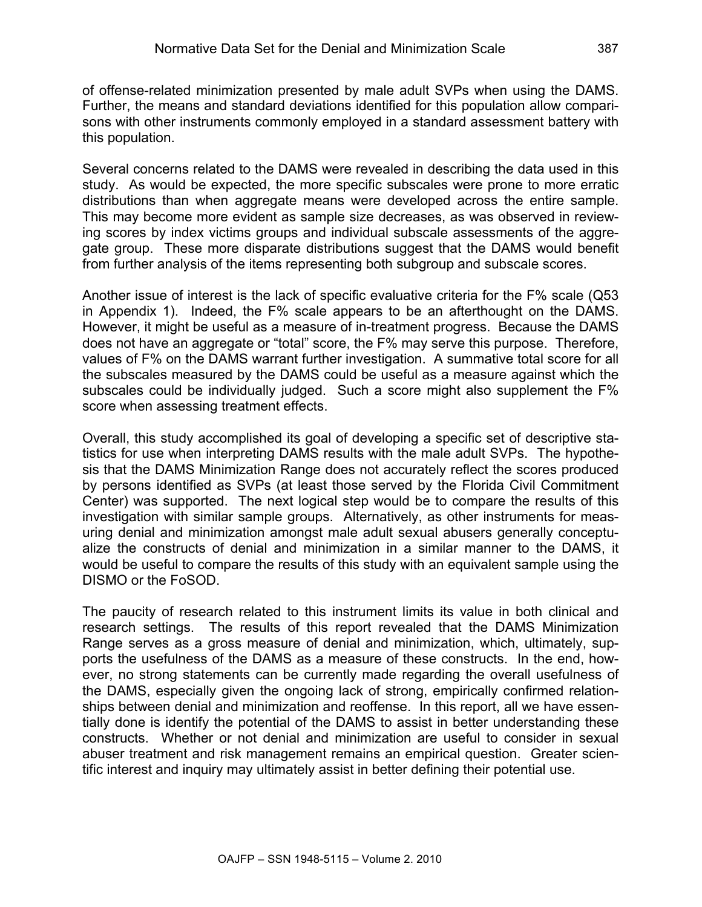of offense-related minimization presented by male adult SVPs when using the DAMS. Further, the means and standard deviations identified for this population allow comparisons with other instruments commonly employed in a standard assessment battery with this population.

Several concerns related to the DAMS were revealed in describing the data used in this study. As would be expected, the more specific subscales were prone to more erratic distributions than when aggregate means were developed across the entire sample. This may become more evident as sample size decreases, as was observed in reviewing scores by index victims groups and individual subscale assessments of the aggregate group. These more disparate distributions suggest that the DAMS would benefit from further analysis of the items representing both subgroup and subscale scores.

Another issue of interest is the lack of specific evaluative criteria for the F% scale (Q53 in Appendix 1). Indeed, the F% scale appears to be an afterthought on the DAMS. However, it might be useful as a measure of in-treatment progress. Because the DAMS does not have an aggregate or "total" score, the F% may serve this purpose. Therefore, values of F% on the DAMS warrant further investigation. A summative total score for all the subscales measured by the DAMS could be useful as a measure against which the subscales could be individually judged. Such a score might also supplement the F% score when assessing treatment effects.

Overall, this study accomplished its goal of developing a specific set of descriptive statistics for use when interpreting DAMS results with the male adult SVPs. The hypothesis that the DAMS Minimization Range does not accurately reflect the scores produced by persons identified as SVPs (at least those served by the Florida Civil Commitment Center) was supported. The next logical step would be to compare the results of this investigation with similar sample groups. Alternatively, as other instruments for measuring denial and minimization amongst male adult sexual abusers generally conceptualize the constructs of denial and minimization in a similar manner to the DAMS, it would be useful to compare the results of this study with an equivalent sample using the DISMO or the FoSOD.

The paucity of research related to this instrument limits its value in both clinical and research settings. The results of this report revealed that the DAMS Minimization Range serves as a gross measure of denial and minimization, which, ultimately, supports the usefulness of the DAMS as a measure of these constructs. In the end, however, no strong statements can be currently made regarding the overall usefulness of the DAMS, especially given the ongoing lack of strong, empirically confirmed relationships between denial and minimization and reoffense. In this report, all we have essentially done is identify the potential of the DAMS to assist in better understanding these constructs. Whether or not denial and minimization are useful to consider in sexual abuser treatment and risk management remains an empirical question. Greater scientific interest and inquiry may ultimately assist in better defining their potential use.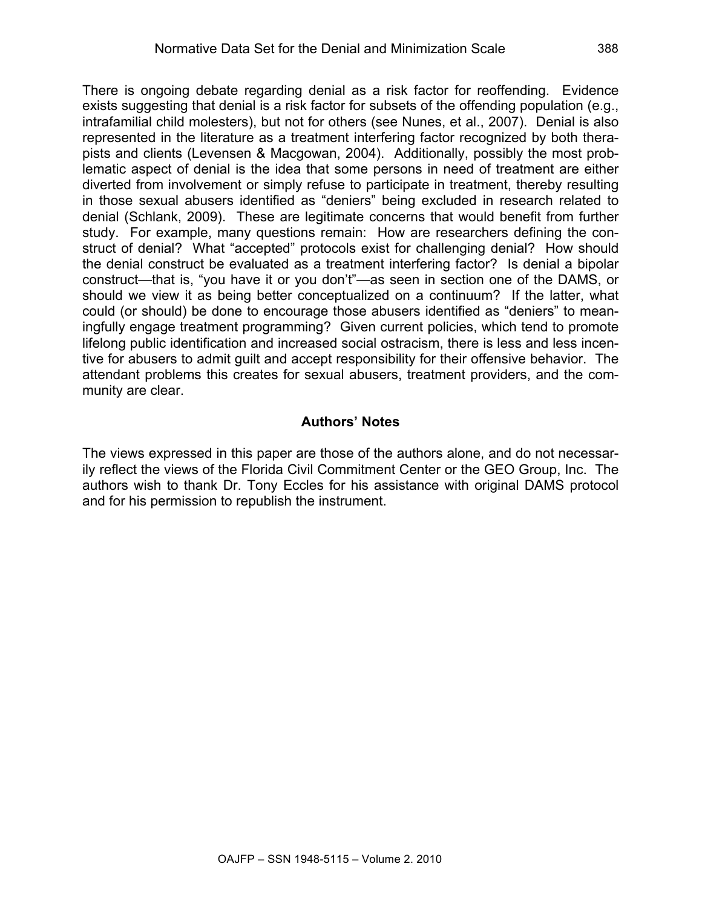There is ongoing debate regarding denial as a risk factor for reoffending. Evidence exists suggesting that denial is a risk factor for subsets of the offending population (e.g., intrafamilial child molesters), but not for others (see Nunes, et al., 2007). Denial is also represented in the literature as a treatment interfering factor recognized by both therapists and clients (Levensen & Macgowan, 2004). Additionally, possibly the most problematic aspect of denial is the idea that some persons in need of treatment are either diverted from involvement or simply refuse to participate in treatment, thereby resulting in those sexual abusers identified as "deniers" being excluded in research related to denial (Schlank, 2009). These are legitimate concerns that would benefit from further study. For example, many questions remain: How are researchers defining the construct of denial? What "accepted" protocols exist for challenging denial? How should the denial construct be evaluated as a treatment interfering factor? Is denial a bipolar construct—that is, "you have it or you don't"—as seen in section one of the DAMS, or should we view it as being better conceptualized on a continuum? If the latter, what could (or should) be done to encourage those abusers identified as "deniers" to meaningfully engage treatment programming? Given current policies, which tend to promote lifelong public identification and increased social ostracism, there is less and less incentive for abusers to admit guilt and accept responsibility for their offensive behavior. The attendant problems this creates for sexual abusers, treatment providers, and the community are clear.

## **Authors' Notes**

The views expressed in this paper are those of the authors alone, and do not necessarily reflect the views of the Florida Civil Commitment Center or the GEO Group, Inc. The authors wish to thank Dr. Tony Eccles for his assistance with original DAMS protocol and for his permission to republish the instrument.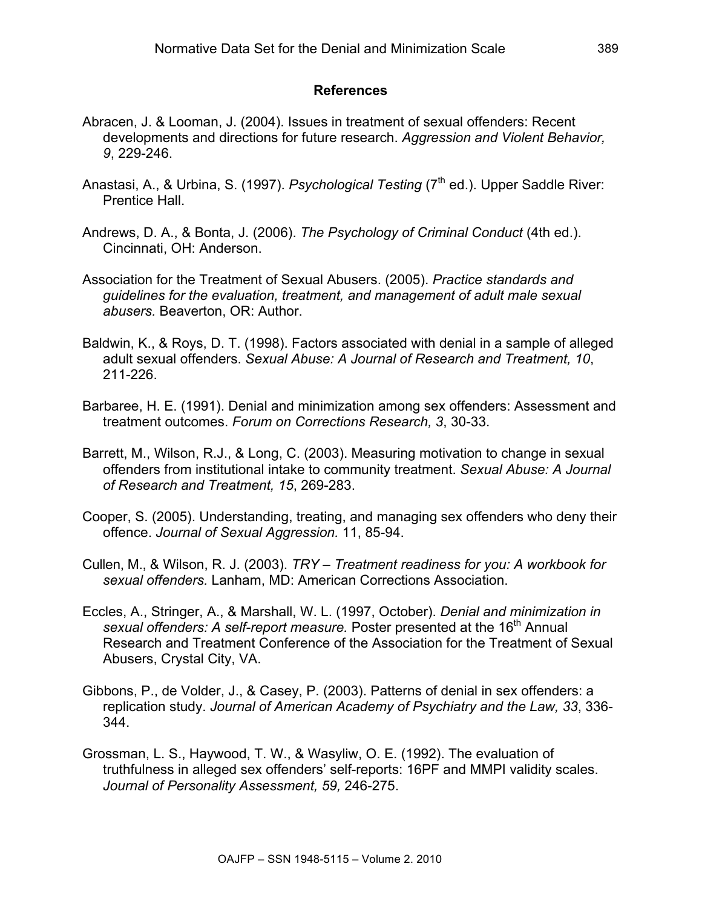#### **References**

- Abracen, J. & Looman, J. (2004). Issues in treatment of sexual offenders: Recent developments and directions for future research. *Aggression and Violent Behavior, 9*, 229-246.
- Anastasi, A., & Urbina, S. (1997). *Psychological Testing* (7<sup>th</sup> ed.). Upper Saddle River: Prentice Hall.
- Andrews, D. A., & Bonta, J. (2006). *The Psychology of Criminal Conduct* (4th ed.). Cincinnati, OH: Anderson.
- Association for the Treatment of Sexual Abusers. (2005). *Practice standards and guidelines for the evaluation, treatment, and management of adult male sexual abusers.* Beaverton, OR: Author.
- Baldwin, K., & Roys, D. T. (1998). Factors associated with denial in a sample of alleged adult sexual offenders. *Sexual Abuse: A Journal of Research and Treatment, 10*, 211-226.
- Barbaree, H. E. (1991). Denial and minimization among sex offenders: Assessment and treatment outcomes. *Forum on Corrections Research, 3*, 30-33.
- Barrett, M., Wilson, R.J., & Long, C. (2003). Measuring motivation to change in sexual offenders from institutional intake to community treatment. *Sexual Abuse: A Journal of Research and Treatment, 15*, 269-283.
- Cooper, S. (2005). Understanding, treating, and managing sex offenders who deny their offence. *Journal of Sexual Aggression.* 11, 85-94.
- Cullen, M., & Wilson, R. J. (2003). *TRY – Treatment readiness for you: A workbook for sexual offenders.* Lanham, MD: American Corrections Association.
- Eccles, A., Stringer, A., & Marshall, W. L. (1997, October). *Denial and minimization in sexual offenders: A self-report measure.* Poster presented at the 16<sup>th</sup> Annual Research and Treatment Conference of the Association for the Treatment of Sexual Abusers, Crystal City, VA.
- Gibbons, P., de Volder, J., & Casey, P. (2003). Patterns of denial in sex offenders: a replication study. *Journal of American Academy of Psychiatry and the Law, 33*, 336- 344.
- Grossman, L. S., Haywood, T. W., & Wasyliw, O. E. (1992). The evaluation of truthfulness in alleged sex offenders' self-reports: 16PF and MMPI validity scales. *Journal of Personality Assessment, 59,* 246-275.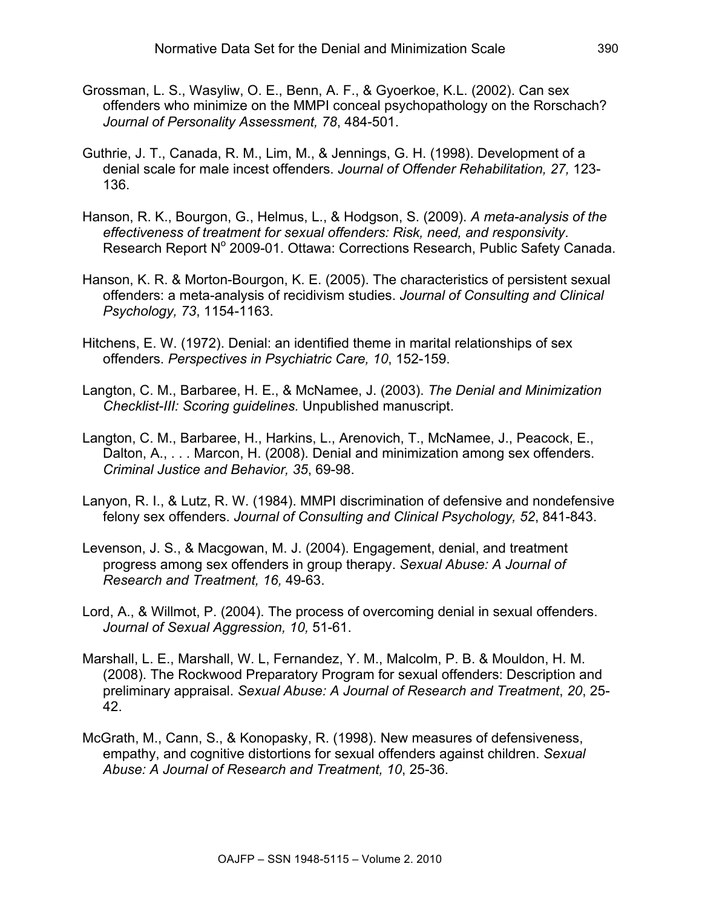- Grossman, L. S., Wasyliw, O. E., Benn, A. F., & Gyoerkoe, K.L. (2002). Can sex offenders who minimize on the MMPI conceal psychopathology on the Rorschach? *Journal of Personality Assessment, 78*, 484-501.
- Guthrie, J. T., Canada, R. M., Lim, M., & Jennings, G. H. (1998). Development of a denial scale for male incest offenders. *Journal of Offender Rehabilitation, 27,* 123- 136.
- Hanson, R. K., Bourgon, G., Helmus, L., & Hodgson, S. (2009). *A meta-analysis of the effectiveness of treatment for sexual offenders: Risk, need, and responsivity*. Research Report Nº 2009-01. Ottawa: Corrections Research, Public Safety Canada.
- Hanson, K. R. & Morton-Bourgon, K. E. (2005). The characteristics of persistent sexual offenders: a meta-analysis of recidivism studies. *Journal of Consulting and Clinical Psychology, 73*, 1154-1163.
- Hitchens, E. W. (1972). Denial: an identified theme in marital relationships of sex offenders. *Perspectives in Psychiatric Care, 10*, 152-159.
- Langton, C. M., Barbaree, H. E., & McNamee, J. (2003). *The Denial and Minimization Checklist-III: Scoring guidelines.* Unpublished manuscript.
- Langton, C. M., Barbaree, H., Harkins, L., Arenovich, T., McNamee, J., Peacock, E., Dalton, A., . . . Marcon, H. (2008). Denial and minimization among sex offenders. *Criminal Justice and Behavior, 35*, 69-98.
- Lanyon, R. I., & Lutz, R. W. (1984). MMPI discrimination of defensive and nondefensive felony sex offenders. *Journal of Consulting and Clinical Psychology, 52*, 841-843.
- Levenson, J. S., & Macgowan, M. J. (2004). Engagement, denial, and treatment progress among sex offenders in group therapy. *Sexual Abuse: A Journal of Research and Treatment, 16,* 49-63.
- Lord, A., & Willmot, P. (2004). The process of overcoming denial in sexual offenders. *Journal of Sexual Aggression, 10,* 51-61.
- Marshall, L. E., Marshall, W. L, Fernandez, Y. M., Malcolm, P. B. & Mouldon, H. M. (2008). The Rockwood Preparatory Program for sexual offenders: Description and preliminary appraisal. *Sexual Abuse: A Journal of Research and Treatment*, *20*, 25- 42.
- McGrath, M., Cann, S., & Konopasky, R. (1998). New measures of defensiveness, empathy, and cognitive distortions for sexual offenders against children. *Sexual Abuse: A Journal of Research and Treatment, 10*, 25-36.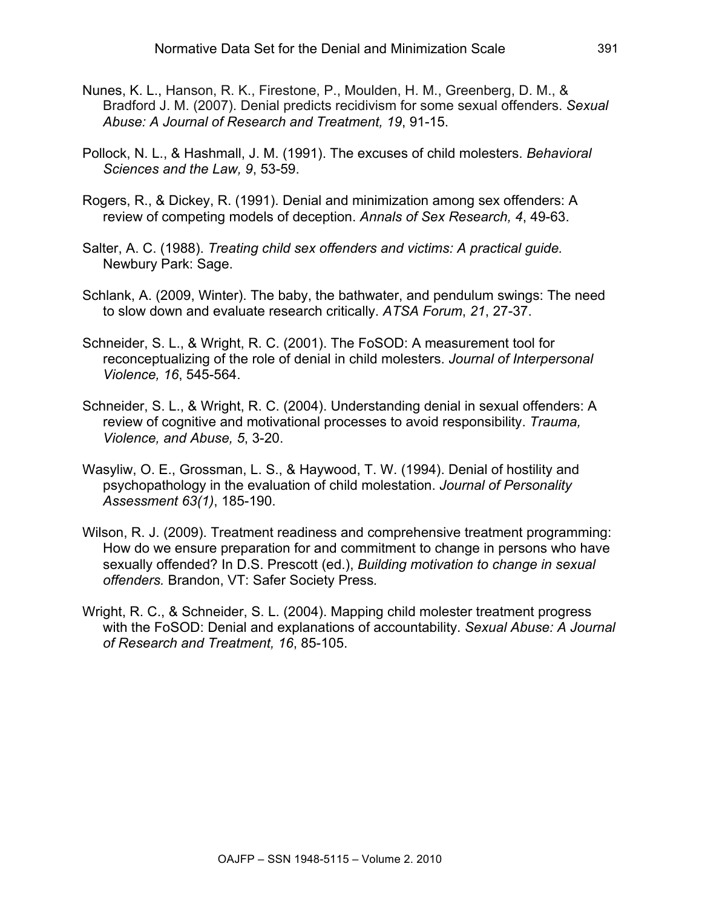- Nunes, K. L., Hanson, R. K., Firestone, P., Moulden, H. M., Greenberg, D. M., & Bradford J. M. (2007). Denial predicts recidivism for some sexual offenders. *Sexual Abuse: A Journal of Research and Treatment, 19*, 91-15.
- Pollock, N. L., & Hashmall, J. M. (1991). The excuses of child molesters. *Behavioral Sciences and the Law, 9*, 53-59.
- Rogers, R., & Dickey, R. (1991). Denial and minimization among sex offenders: A review of competing models of deception. *Annals of Sex Research, 4*, 49-63.
- Salter, A. C. (1988). *Treating child sex offenders and victims: A practical guide.* Newbury Park: Sage.
- Schlank, A. (2009, Winter). The baby, the bathwater, and pendulum swings: The need to slow down and evaluate research critically. *ATSA Forum*, *21*, 27-37.
- Schneider, S. L., & Wright, R. C. (2001). The FoSOD: A measurement tool for reconceptualizing of the role of denial in child molesters. *Journal of Interpersonal Violence, 16*, 545-564.
- Schneider, S. L., & Wright, R. C. (2004). Understanding denial in sexual offenders: A review of cognitive and motivational processes to avoid responsibility. *Trauma, Violence, and Abuse, 5*, 3-20.
- Wasyliw, O. E., Grossman, L. S., & Haywood, T. W. (1994). Denial of hostility and psychopathology in the evaluation of child molestation. *Journal of Personality Assessment 63(1)*, 185-190.
- Wilson, R. J. (2009). Treatment readiness and comprehensive treatment programming: How do we ensure preparation for and commitment to change in persons who have sexually offended? In D.S. Prescott (ed.), *Building motivation to change in sexual offenders.* Brandon, VT: Safer Society Press*.*
- Wright, R. C., & Schneider, S. L. (2004). Mapping child molester treatment progress with the FoSOD: Denial and explanations of accountability. *Sexual Abuse: A Journal of Research and Treatment, 16*, 85-105.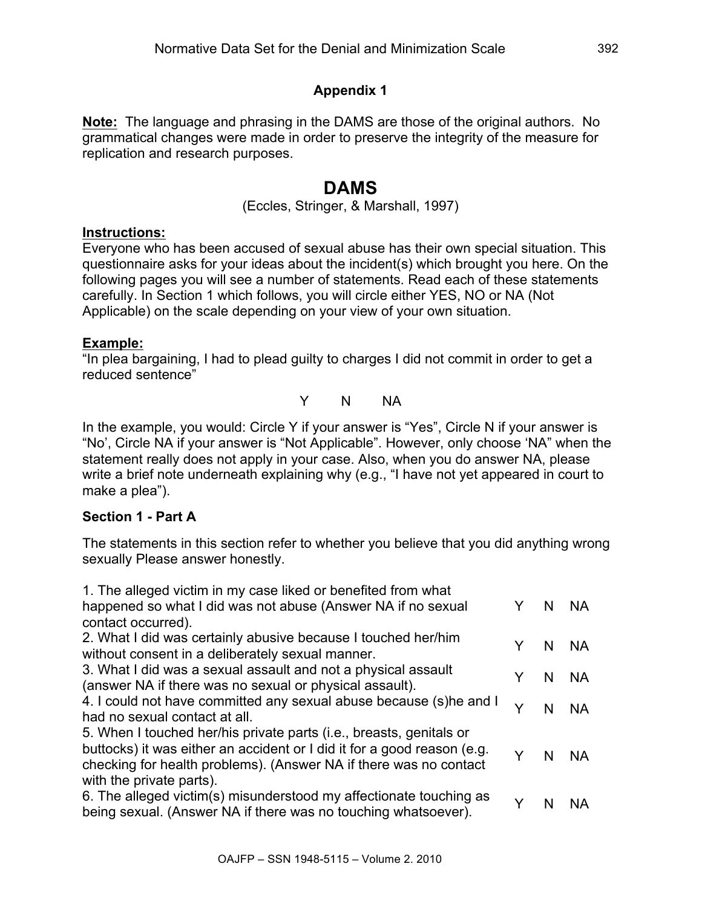## **Appendix 1**

**Note:** The language and phrasing in the DAMS are those of the original authors. No grammatical changes were made in order to preserve the integrity of the measure for replication and research purposes.

## **DAMS**

(Eccles, Stringer, & Marshall, 1997)

## **Instructions:**

Everyone who has been accused of sexual abuse has their own special situation. This questionnaire asks for your ideas about the incident(s) which brought you here. On the following pages you will see a number of statements. Read each of these statements carefully. In Section 1 which follows, you will circle either YES, NO or NA (Not Applicable) on the scale depending on your view of your own situation.

## **Example:**

"In plea bargaining, I had to plead guilty to charges I did not commit in order to get a reduced sentence"

Y N NA

In the example, you would: Circle Y if your answer is "Yes", Circle N if your answer is "No', Circle NA if your answer is "Not Applicable". However, only choose 'NA" when the statement really does not apply in your case. Also, when you do answer NA, please write a brief note underneath explaining why (e.g., "I have not yet appeared in court to make a plea").

## **Section 1 - Part A**

The statements in this section refer to whether you believe that you did anything wrong sexually Please answer honestly.

| 1. The alleged victim in my case liked or benefited from what<br>happened so what I did was not abuse (Answer NA if no sexual<br>contact occurred).                                                                                             | Y | N  | <b>NA</b> |
|-------------------------------------------------------------------------------------------------------------------------------------------------------------------------------------------------------------------------------------------------|---|----|-----------|
| 2. What I did was certainly abusive because I touched her/him<br>without consent in a deliberately sexual manner.                                                                                                                               | Y | N  | <b>NA</b> |
| 3. What I did was a sexual assault and not a physical assault<br>(answer NA if there was no sexual or physical assault).                                                                                                                        | Y | N. | <b>NA</b> |
| 4. I could not have committed any sexual abuse because (s)he and I<br>had no sexual contact at all.                                                                                                                                             | Y | N  | <b>NA</b> |
| 5. When I touched her/his private parts (i.e., breasts, genitals or<br>buttocks) it was either an accident or I did it for a good reason (e.g.<br>checking for health problems). (Answer NA if there was no contact<br>with the private parts). | Y | N  | - NA      |
| 6. The alleged victim(s) misunderstood my affectionate touching as<br>being sexual. (Answer NA if there was no touching whatsoever).                                                                                                            | Y | N  | <b>NA</b> |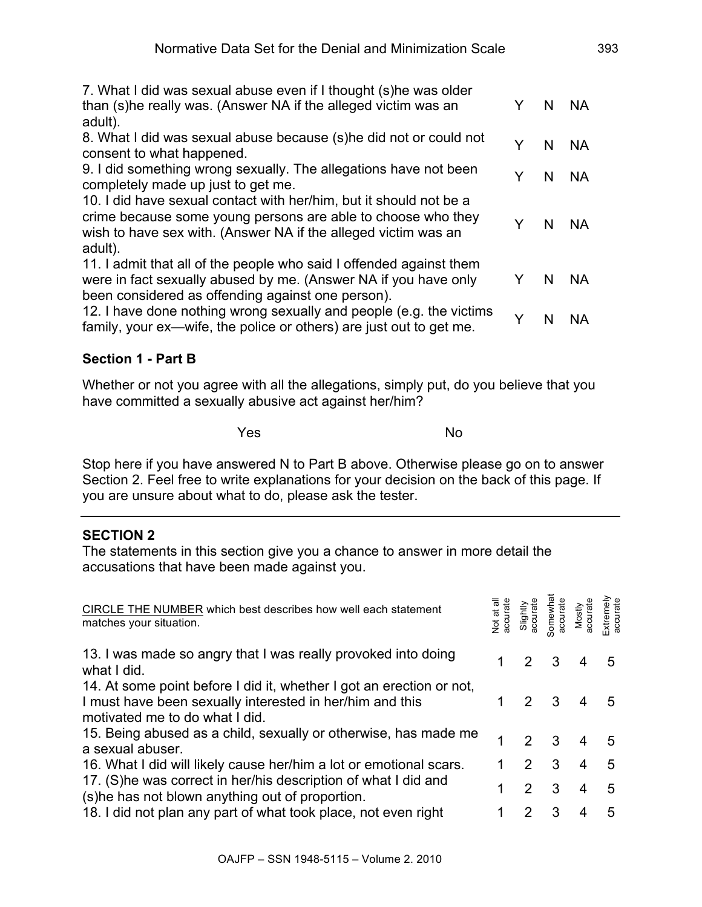| 7. What I did was sexual abuse even if I thought (s) he was older   |   |    |           |
|---------------------------------------------------------------------|---|----|-----------|
| than (s) he really was. (Answer NA if the alleged victim was an     | Y | N  | <b>NA</b> |
| adult).                                                             |   |    |           |
| 8. What I did was sexual abuse because (s) he did not or could not  | Y | N. | - NA      |
| consent to what happened.                                           |   |    |           |
| 9. I did something wrong sexually. The allegations have not been    | Y | N. | <b>NA</b> |
| completely made up just to get me.                                  |   |    |           |
| 10. I did have sexual contact with her/him, but it should not be a  |   |    |           |
| crime because some young persons are able to choose who they        |   |    |           |
| wish to have sex with. (Answer NA if the alleged victim was an      | Y | N. | - NA      |
| adult).                                                             |   |    |           |
| 11. I admit that all of the people who said I offended against them |   |    |           |
| were in fact sexually abused by me. (Answer NA if you have only     | Y | N. | <b>NA</b> |
| been considered as offending against one person).                   |   |    |           |
| 12. I have done nothing wrong sexually and people (e.g. the victims |   |    |           |
| family, your ex—wife, the police or others) are just out to get me. | Y | N  | <b>NA</b> |
|                                                                     |   |    |           |

## **Section 1 - Part B**

Whether or not you agree with all the allegations, simply put, do you believe that you have committed a sexually abusive act against her/him?

**Yes** No

Stop here if you have answered N to Part B above. Otherwise please go on to answer Section 2. Feel free to write explanations for your decision on the back of this page. If you are unsure about what to do, please ask the tester.

## **SECTION 2**

The statements in this section give you a chance to answer in more detail the accusations that have been made against you.

| CIRCLE THE NUMBER which best describes how well each statement<br>matches your situation.                                                                          | Vot at all<br>accurate | Slightly<br>accurate | Somewha<br>accurate     | Mostly<br>accurate | Extremely<br>accurate |
|--------------------------------------------------------------------------------------------------------------------------------------------------------------------|------------------------|----------------------|-------------------------|--------------------|-----------------------|
| 13. I was made so angry that I was really provoked into doing<br>what I did.                                                                                       |                        |                      | 3                       |                    | 5                     |
| 14. At some point before I did it, whether I got an erection or not,<br>I must have been sexually interested in her/him and this<br>motivated me to do what I did. |                        | $\mathcal{P}$        | $\overline{3}$          |                    | 5                     |
| 15. Being abused as a child, sexually or otherwise, has made me<br>a sexual abuser.                                                                                |                        | $\mathcal{P}$        | 3 <sup>3</sup>          |                    | 5                     |
| 16. What I did will likely cause her/him a lot or emotional scars.                                                                                                 |                        | 2                    | $\overline{\mathbf{3}}$ | 4                  | 5                     |
| 17. (S) he was correct in her/his description of what I did and<br>(s) he has not blown anything out of proportion.                                                |                        | $\mathcal{P}$        | 3                       | 4                  | 5                     |
| 18. I did not plan any part of what took place, not even right                                                                                                     |                        | 2                    | 3                       |                    | 5                     |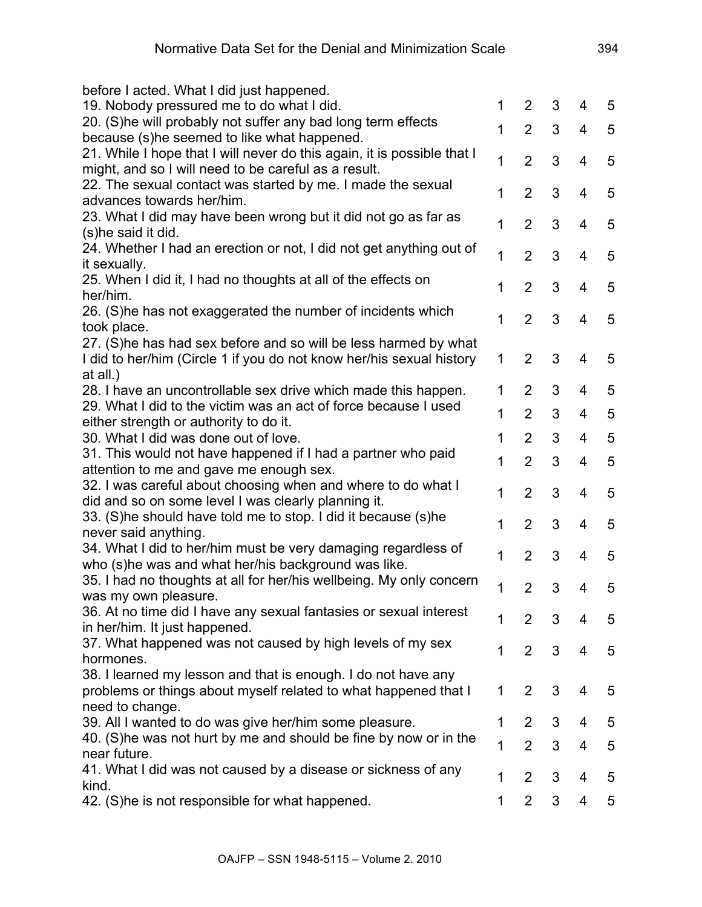| before I acted. What I did just happened.                               |   |                |   |                         |                |
|-------------------------------------------------------------------------|---|----------------|---|-------------------------|----------------|
| 19. Nobody pressured me to do what I did.                               | 1 | $\overline{2}$ | 3 | 4                       | $\overline{5}$ |
| 20. (S) he will probably not suffer any bad long term effects           |   |                |   |                         |                |
| because (s)he seemed to like what happened.                             | 1 | $\overline{2}$ | 3 | $\overline{4}$          | 5              |
| 21. While I hope that I will never do this again, it is possible that I |   |                |   |                         |                |
| might, and so I will need to be careful as a result.                    | 1 | $\overline{2}$ | 3 | 4                       | 5              |
| 22. The sexual contact was started by me. I made the sexual             |   |                |   |                         |                |
| advances towards her/him.                                               | 1 | $\overline{2}$ | 3 | $\overline{4}$          | 5              |
| 23. What I did may have been wrong but it did not go as far as          | 1 | $\overline{2}$ | 3 |                         | 5              |
| (s)he said it did.                                                      |   |                |   | 4                       |                |
| 24. Whether I had an erection or not, I did not get anything out of     | 1 | $\overline{2}$ | 3 | $\overline{4}$          | 5              |
| it sexually.                                                            |   |                |   |                         |                |
| 25. When I did it, I had no thoughts at all of the effects on           | 1 | $\overline{2}$ | 3 | $\overline{4}$          | 5              |
| her/him.                                                                |   |                |   |                         |                |
| 26. (S)he has not exaggerated the number of incidents which             | 1 | $\overline{2}$ | 3 | $\overline{4}$          | 5              |
| took place.                                                             |   |                |   |                         |                |
| 27. (S)he has had sex before and so will be less harmed by what         |   |                |   |                         |                |
| I did to her/him (Circle 1 if you do not know her/his sexual history    | 1 | $\overline{2}$ | 3 | 4                       | 5              |
| at all.)                                                                |   |                |   |                         |                |
| 28. I have an uncontrollable sex drive which made this happen.          | 1 | $\overline{2}$ | 3 | 4                       | 5              |
| 29. What I did to the victim was an act of force because I used         | 1 | $\overline{2}$ | 3 | 4                       | 5              |
| either strength or authority to do it.                                  |   |                |   |                         |                |
| 30. What I did was done out of love.                                    | 1 | $\overline{2}$ | 3 | $\overline{\mathbf{4}}$ | 5              |
| 31. This would not have happened if I had a partner who paid            | 1 | $\overline{2}$ | 3 | 4                       | 5              |
| attention to me and gave me enough sex.                                 |   |                |   |                         |                |
| 32. I was careful about choosing when and where to do what I            | 1 | $\overline{2}$ | 3 | $\overline{\mathbf{4}}$ | 5              |
| did and so on some level I was clearly planning it.                     |   |                |   |                         |                |
| 33. (S)he should have told me to stop. I did it because (s)he           | 1 | $\overline{2}$ | 3 | $\overline{4}$          | 5              |
| never said anything.                                                    |   |                |   |                         |                |
| 34. What I did to her/him must be very damaging regardless of           | 1 | $\overline{2}$ | 3 | 4                       | 5              |
| who (s)he was and what her/his background was like.                     |   |                |   |                         |                |
| 35. I had no thoughts at all for her/his wellbeing. My only concern     | 1 | $\overline{2}$ | 3 | 4                       | 5              |
| was my own pleasure.                                                    |   |                |   |                         |                |
| 36. At no time did I have any sexual fantasies or sexual interest       | 1 | $\overline{2}$ | 3 | 4                       | 5              |
| in her/him. It just happened.                                           |   |                |   |                         |                |
| 37. What happened was not caused by high levels of my sex               | 1 | $\overline{2}$ | 3 | 4                       | 5              |
| hormones.                                                               |   |                |   |                         |                |
| 38. I learned my lesson and that is enough. I do not have any           |   |                |   |                         |                |
| problems or things about myself related to what happened that I         | 1 | $\overline{2}$ | 3 | 4                       | 5              |
| need to change.                                                         |   |                |   |                         |                |
| 39. All I wanted to do was give her/him some pleasure.                  | 1 | $\overline{2}$ | 3 | 4                       | 5              |
| 40. (S) he was not hurt by me and should be fine by now or in the       | 1 | $\overline{2}$ | 3 | 4                       | 5              |
| near future.                                                            |   |                |   |                         |                |
| 41. What I did was not caused by a disease or sickness of any           | 1 | $\overline{2}$ | 3 | 4                       | 5              |
| kind.                                                                   |   |                |   |                         |                |
| 42. (S)he is not responsible for what happened.                         | 1 | $\overline{2}$ | 3 | 4                       | 5              |